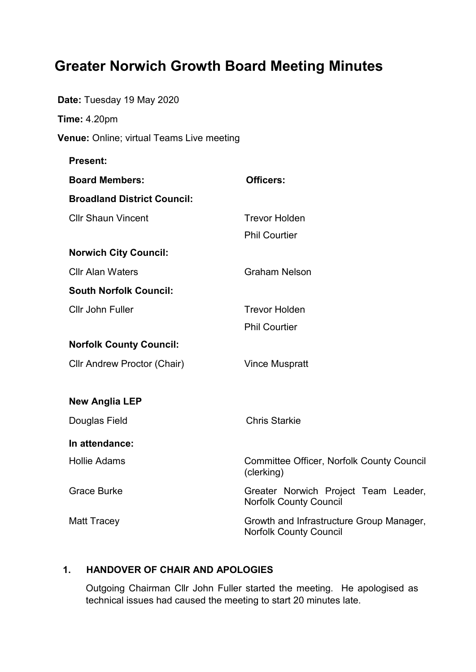# **Greater Norwich Growth Board Meeting Minutes**

| <b>Date:</b> Tuesday 19 May 2020          |                                                                           |
|-------------------------------------------|---------------------------------------------------------------------------|
| <b>Time: 4.20pm</b>                       |                                                                           |
| Venue: Online; virtual Teams Live meeting |                                                                           |
| <b>Present:</b>                           |                                                                           |
| <b>Board Members:</b>                     | <b>Officers:</b>                                                          |
| <b>Broadland District Council:</b>        |                                                                           |
| <b>Cllr Shaun Vincent</b>                 | <b>Trevor Holden</b><br><b>Phil Courtier</b>                              |
| <b>Norwich City Council:</b>              |                                                                           |
| <b>Cllr Alan Waters</b>                   | <b>Graham Nelson</b>                                                      |
| <b>South Norfolk Council:</b>             |                                                                           |
| Cllr John Fuller                          | <b>Trevor Holden</b>                                                      |
|                                           | <b>Phil Courtier</b>                                                      |
| <b>Norfolk County Council:</b>            |                                                                           |
| Cllr Andrew Proctor (Chair)               | <b>Vince Muspratt</b>                                                     |
| <b>New Anglia LEP</b>                     |                                                                           |
| Douglas Field                             | <b>Chris Starkie</b>                                                      |
| In attendance:                            |                                                                           |
| <b>Hollie Adams</b>                       | <b>Committee Officer, Norfolk County Council</b><br>(clerking)            |
| <b>Grace Burke</b>                        | Greater Norwich Project Team Leader,<br><b>Norfolk County Council</b>     |
| <b>Matt Tracey</b>                        | Growth and Infrastructure Group Manager,<br><b>Norfolk County Council</b> |

## **1. HANDOVER OF CHAIR AND APOLOGIES**

Outgoing Chairman Cllr John Fuller started the meeting. He apologised as technical issues had caused the meeting to start 20 minutes late.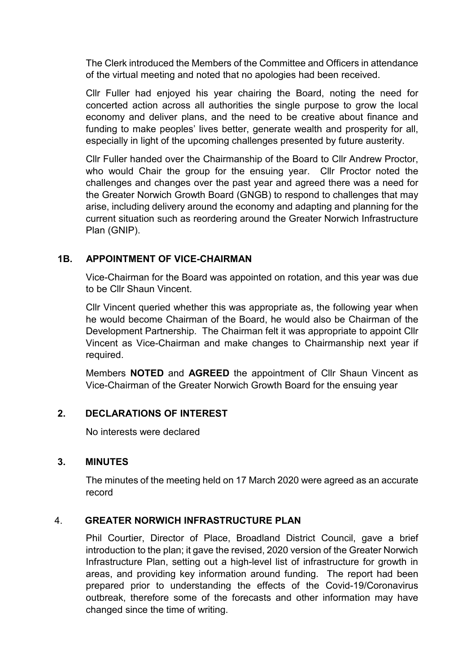The Clerk introduced the Members of the Committee and Officers in attendance of the virtual meeting and noted that no apologies had been received.

Cllr Fuller had enjoyed his year chairing the Board, noting the need for concerted action across all authorities the single purpose to grow the local economy and deliver plans, and the need to be creative about finance and funding to make peoples' lives better, generate wealth and prosperity for all, especially in light of the upcoming challenges presented by future austerity.

Cllr Fuller handed over the Chairmanship of the Board to Cllr Andrew Proctor, who would Chair the group for the ensuing year. Cllr Proctor noted the challenges and changes over the past year and agreed there was a need for the Greater Norwich Growth Board (GNGB) to respond to challenges that may arise, including delivery around the economy and adapting and planning for the current situation such as reordering around the Greater Norwich Infrastructure Plan (GNIP).

## **1B. APPOINTMENT OF VICE-CHAIRMAN**

Vice-Chairman for the Board was appointed on rotation, and this year was due to be Cllr Shaun Vincent.

Cllr Vincent queried whether this was appropriate as, the following year when he would become Chairman of the Board, he would also be Chairman of the Development Partnership. The Chairman felt it was appropriate to appoint Cllr Vincent as Vice-Chairman and make changes to Chairmanship next year if required.

Members **NOTED** and **AGREED** the appointment of Cllr Shaun Vincent as Vice-Chairman of the Greater Norwich Growth Board for the ensuing year

### **2. DECLARATIONS OF INTEREST**

No interests were declared

### **3. MINUTES**

The minutes of the meeting held on 17 March 2020 were agreed as an accurate record

## 4. **GREATER NORWICH INFRASTRUCTURE PLAN**

Phil Courtier, Director of Place, Broadland District Council, gave a brief introduction to the plan; it gave the revised, 2020 version of the Greater Norwich Infrastructure Plan, setting out a high-level list of infrastructure for growth in areas, and providing key information around funding. The report had been prepared prior to understanding the effects of the Covid-19/Coronavirus outbreak, therefore some of the forecasts and other information may have changed since the time of writing.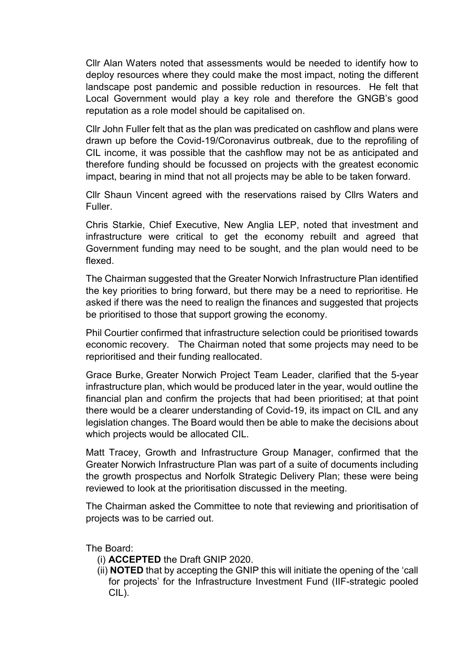Cllr Alan Waters noted that assessments would be needed to identify how to deploy resources where they could make the most impact, noting the different landscape post pandemic and possible reduction in resources. He felt that Local Government would play a key role and therefore the GNGB's good reputation as a role model should be capitalised on.

Cllr John Fuller felt that as the plan was predicated on cashflow and plans were drawn up before the Covid-19/Coronavirus outbreak, due to the reprofiling of CIL income, it was possible that the cashflow may not be as anticipated and therefore funding should be focussed on projects with the greatest economic impact, bearing in mind that not all projects may be able to be taken forward.

Cllr Shaun Vincent agreed with the reservations raised by Cllrs Waters and Fuller.

Chris Starkie, Chief Executive, New Anglia LEP, noted that investment and infrastructure were critical to get the economy rebuilt and agreed that Government funding may need to be sought, and the plan would need to be flexed.

The Chairman suggested that the Greater Norwich Infrastructure Plan identified the key priorities to bring forward, but there may be a need to reprioritise. He asked if there was the need to realign the finances and suggested that projects be prioritised to those that support growing the economy.

Phil Courtier confirmed that infrastructure selection could be prioritised towards economic recovery. The Chairman noted that some projects may need to be reprioritised and their funding reallocated.

Grace Burke, Greater Norwich Project Team Leader, clarified that the 5-year infrastructure plan, which would be produced later in the year, would outline the financial plan and confirm the projects that had been prioritised; at that point there would be a clearer understanding of Covid-19, its impact on CIL and any legislation changes. The Board would then be able to make the decisions about which projects would be allocated CIL.

Matt Tracey, Growth and Infrastructure Group Manager, confirmed that the Greater Norwich Infrastructure Plan was part of a suite of documents including the growth prospectus and Norfolk Strategic Delivery Plan; these were being reviewed to look at the prioritisation discussed in the meeting.

The Chairman asked the Committee to note that reviewing and prioritisation of projects was to be carried out.

The Board:

- (i) **ACCEPTED** the Draft GNIP 2020.
- (ii) **NOTED** that by accepting the GNIP this will initiate the opening of the 'call for projects' for the Infrastructure Investment Fund (IIF-strategic pooled CIL).